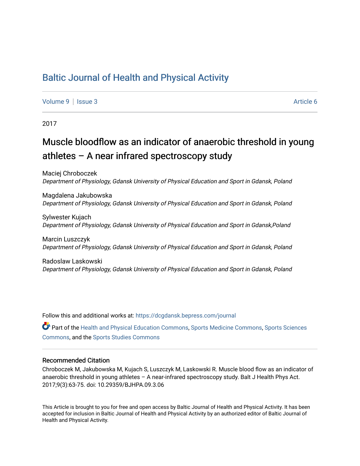## [Baltic Journal of Health and Physical Activity](https://dcgdansk.bepress.com/journal)

[Volume 9](https://dcgdansk.bepress.com/journal/vol9) | [Issue 3](https://dcgdansk.bepress.com/journal/vol9/iss3) Article 6

2017

## Muscle bloodflow as an indicator of anaerobic threshold in young athletes – A near infrared spectroscopy study

Maciej Chroboczek Department of Physiology, Gdansk University of Physical Education and Sport in Gdansk, Poland

Magdalena Jakubowska Department of Physiology, Gdansk University of Physical Education and Sport in Gdansk, Poland

Sylwester Kujach Department of Physiology, Gdansk University of Physical Education and Sport in Gdansk,Poland

Marcin Luszczyk Department of Physiology, Gdansk University of Physical Education and Sport in Gdansk, Poland

Radoslaw Laskowski Department of Physiology, Gdansk University of Physical Education and Sport in Gdansk, Poland

Follow this and additional works at: [https://dcgdansk.bepress.com/journal](https://dcgdansk.bepress.com/journal?utm_source=dcgdansk.bepress.com%2Fjournal%2Fvol9%2Fiss3%2F6&utm_medium=PDF&utm_campaign=PDFCoverPages)

Part of the [Health and Physical Education Commons](http://network.bepress.com/hgg/discipline/1327?utm_source=dcgdansk.bepress.com%2Fjournal%2Fvol9%2Fiss3%2F6&utm_medium=PDF&utm_campaign=PDFCoverPages), [Sports Medicine Commons,](http://network.bepress.com/hgg/discipline/1331?utm_source=dcgdansk.bepress.com%2Fjournal%2Fvol9%2Fiss3%2F6&utm_medium=PDF&utm_campaign=PDFCoverPages) [Sports Sciences](http://network.bepress.com/hgg/discipline/759?utm_source=dcgdansk.bepress.com%2Fjournal%2Fvol9%2Fiss3%2F6&utm_medium=PDF&utm_campaign=PDFCoverPages) [Commons](http://network.bepress.com/hgg/discipline/759?utm_source=dcgdansk.bepress.com%2Fjournal%2Fvol9%2Fiss3%2F6&utm_medium=PDF&utm_campaign=PDFCoverPages), and the [Sports Studies Commons](http://network.bepress.com/hgg/discipline/1198?utm_source=dcgdansk.bepress.com%2Fjournal%2Fvol9%2Fiss3%2F6&utm_medium=PDF&utm_campaign=PDFCoverPages) 

#### Recommended Citation

Chroboczek M, Jakubowska M, Kujach S, Luszczyk M, Laskowski R. Muscle blood flow as an indicator of anaerobic threshold in young athletes – A near-infrared spectroscopy study. Balt J Health Phys Act. 2017;9(3):63-75. doi: 10.29359/BJHPA.09.3.06

This Article is brought to you for free and open access by Baltic Journal of Health and Physical Activity. It has been accepted for inclusion in Baltic Journal of Health and Physical Activity by an authorized editor of Baltic Journal of Health and Physical Activity.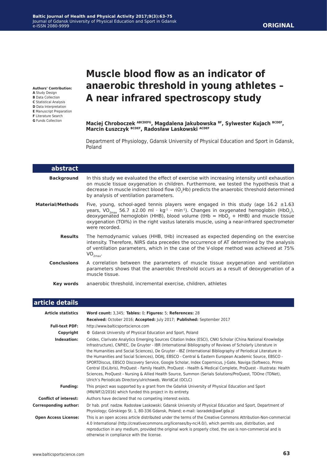#### **Authors' Contribution:**

- **A** Study Design
- **B** Data Collection
- **C** Statistical Analysis
- **D** Data Interpretation **E** Manuscript Preparation
- **F** Literature Search
- **G** Funds Collection

# **Muscle blood flow as an indicator of anaerobic threshold in young athletes – A near infrared spectroscopy study**

**Maciej Chroboczek ABCDEFG, Magdalena Jakubowska BF, Sylwester Kujach BCDEF, Marcin Łuszczyk BCDEF, Radosław Laskowski ACDEF**

Department of Physiology, Gdansk University of Physical Education and Sport in Gdansk, Poland

| abstract                |                                                                                                                                                                                                                                                                                                                                                                                                                                                     |
|-------------------------|-----------------------------------------------------------------------------------------------------------------------------------------------------------------------------------------------------------------------------------------------------------------------------------------------------------------------------------------------------------------------------------------------------------------------------------------------------|
| <b>Background</b>       | In this study we evaluated the effect of exercise with increasing intensity until exhaustion<br>on muscle tissue oxygenation in children. Furthermore, we tested the hypothesis that a<br>decrease in muscle indirect blood flow (O <sub>2</sub> Hb) predicts the anaerobic threshold determined<br>by analysis of ventilation parameters.                                                                                                          |
| <b>Material/Methods</b> | Five, young, school-aged tennis players were engaged in this study (age 16.2 $\pm 1.63$<br>years, VO <sub>2max</sub> 56.7 ±2.00 ml · kg <sup>-1</sup> · min <sup>-1</sup> ). Changes in oxygenated hemoglobin (HbO <sub>2</sub> ),<br>deoxygenated hemoglobin (HHB), blood volume (tHb = HbO <sub>2</sub> + HHB) and muscle tissue<br>oxygenation (TOI%) in the right vastus lateralis muscle, using a near-infrared spectrometer<br>were recorded. |
| <b>Results</b>          | The hemodynamic values (HHB, tHb) increased as expected depending on the exercise<br>intensity. Therefore, NIRS data precedes the occurrence of AT determined by the analysis<br>of ventilation parameters, which in the case of the V-slope method was achieved at 75%<br>$VO_{2max}$ .                                                                                                                                                            |
| <b>Conclusions</b>      | A correlation between the parameters of muscle tissue oxygenation and ventilation<br>parameters shows that the anaerobic threshold occurs as a result of deoxygenation of a<br>muscle tissue.                                                                                                                                                                                                                                                       |
| Key words               | anaerobic threshold, incremental exercise, children, athletes                                                                                                                                                                                                                                                                                                                                                                                       |

| article details              |                                                                                                                                                                                                                                                                                                                                                                                                                                                                                                                                                                                                                                                                                                                                                                                                                                                               |
|------------------------------|---------------------------------------------------------------------------------------------------------------------------------------------------------------------------------------------------------------------------------------------------------------------------------------------------------------------------------------------------------------------------------------------------------------------------------------------------------------------------------------------------------------------------------------------------------------------------------------------------------------------------------------------------------------------------------------------------------------------------------------------------------------------------------------------------------------------------------------------------------------|
| <b>Article statistics</b>    | Word count: 3,345; Tables: 0; Figures: 5; References: 28                                                                                                                                                                                                                                                                                                                                                                                                                                                                                                                                                                                                                                                                                                                                                                                                      |
|                              | Received: October 2016; Accepted: July 2017; Published: September 2017                                                                                                                                                                                                                                                                                                                                                                                                                                                                                                                                                                                                                                                                                                                                                                                        |
| <b>Full-text PDF:</b>        | http://www.balticsportscience.com                                                                                                                                                                                                                                                                                                                                                                                                                                                                                                                                                                                                                                                                                                                                                                                                                             |
| Copyright                    | © Gdansk University of Physical Education and Sport, Poland                                                                                                                                                                                                                                                                                                                                                                                                                                                                                                                                                                                                                                                                                                                                                                                                   |
| Indexation:                  | Celdes, Clarivate Analytics Emerging Sources Citation Index (ESCI), CNKI Scholar (China National Knowledge<br>Infrastructure), CNPIEC, De Gruyter - IBR (International Bibliography of Reviews of Scholarly Literature in<br>the Humanities and Social Sciences), De Gruyter - IBZ (International Bibliography of Periodical Literature in<br>the Humanities and Social Sciences), DOAJ, EBSCO - Central & Eastern European Academic Source, EBSCO -<br>SPORTDiscus, EBSCO Discovery Service, Google Scholar, Index Copernicus, J-Gate, Naviga (Softweco, Primo<br>Central (ExLibris), ProQuest - Family Health, ProQuest - Health & Medical Complete, ProQuest - Illustrata: Health<br>Sciences, ProQuest - Nursing & Allied Health Source, Summon (Serials Solutions/ProQuest, TDOne (TDNet),<br>Ulrich's Periodicals Directory/ulrichsweb, WorldCat (OCLC) |
| <b>Funding:</b>              | This project was supported by a grant from the Gdańsk University of Physical Education and Sport<br>(MN/WF/2/2016) which funded this project in its entirety.                                                                                                                                                                                                                                                                                                                                                                                                                                                                                                                                                                                                                                                                                                 |
| <b>Conflict of interest:</b> | Authors have declared that no competing interest exists.                                                                                                                                                                                                                                                                                                                                                                                                                                                                                                                                                                                                                                                                                                                                                                                                      |
| <b>Corresponding author:</b> | Dr hab. prof. nadzw. Radosław Laskowski; Gdansk University of Physical Education and Sport, Department of<br>Physiology; Górskiego St. 1, 80-336 Gdansk, Poland; e-mail: lasradek@awf.gda.pl                                                                                                                                                                                                                                                                                                                                                                                                                                                                                                                                                                                                                                                                  |
| <b>Open Access License:</b>  | This is an open access article distributed under the terms of the Creative Commons Attribution-Non-commercial<br>4.0 International (http://creativecommons.org/licenses/by-nc/4.0/), which permits use, distribution, and<br>reproduction in any medium, provided the original work is properly cited, the use is non-commercial and is<br>otherwise in compliance with the license.                                                                                                                                                                                                                                                                                                                                                                                                                                                                          |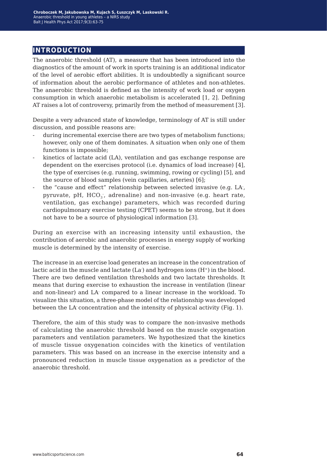## **introduction**

The anaerobic threshold (AT), a measure that has been introduced into the diagnostics of the amount of work in sports training is an additional indicator of the level of aerobic effort abilities. It is undoubtedly a significant source of information about the aerobic performance of athletes and non-athletes. The anaerobic threshold is defined as the intensity of work load or oxygen consumption in which anaerobic metabolism is accelerated [1, 2]. Defining AT raises a lot of controversy, primarily from the method of measurement [3].

Despite a very advanced state of knowledge, terminology of AT is still under discussion, and possible reasons are:

- during incremental exercise there are two types of metabolism functions; however, only one of them dominates. A situation when only one of them functions is impossible;
- kinetics of lactate acid (LA), ventilation and gas exchange response are dependent on the exercises protocol (i.e. dynamics of load increase) [4], the type of exercises (e.g. running, swimming, rowing or cycling) [5], and the source of blood samples (vein capillaries, arteries) [6];
- the "cause and effect" relationship between selected invasive (e.g. LA-, pyruvate, pH,  $\mathrm{HCO}_3$ , adrenaline) and non-invasive (e.g. heart rate, ventilation, gas exchange) parameters, which was recorded during cardiopulmonary exercise testing (CPET) seems to be strong, but it does not have to be a source of physiological information [3].

During an exercise with an increasing intensity until exhaustion, the contribution of aerobic and anaerobic processes in energy supply of working muscle is determined by the intensity of exercise.

The increase in an exercise load generates an increase in the concentration of lactic acid in the muscle and lactate (La- ) and hydrogen ions (H<sup>+</sup>) in the blood. There are two defined ventilation thresholds and two lactate thresholds. It means that during exercise to exhaustion the increase in ventilation (linear and non-linear) and LA- compared to a linear increase in the workload. To visualize this situation, a three-phase model of the relationship was developed between the LA- concentration and the intensity of physical activity (Fig. 1).

Therefore, the aim of this study was to compare the non-invasive methods of calculating the anaerobic threshold based on the muscle oxygenation parameters and ventilation parameters. We hypothesized that the kinetics of muscle tissue oxygenation coincides with the kinetics of ventilation parameters. This was based on an increase in the exercise intensity and a pronounced reduction in muscle tissue oxygenation as a predictor of the anaerobic threshold.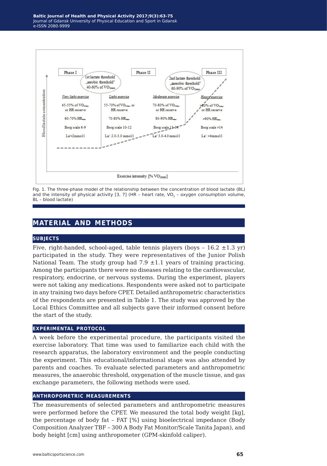

Fig. 1. The three-phase model of the relationship between the concentration of blood lactate (BL) and the intensity of physical activity [3, 7] (HR - heart rate, VO<sub>2</sub> - oxygen consumption volume, BL – blood lactate)

## **material and methods**

#### **subjects**

Five, right-handed, school-aged, table tennis players (boys -  $16.2 \pm 1.3$  yr) participated in the study. They were representatives of the Junior Polish National Team. The study group had  $7.9 \pm 1.1$  years of training practicing. Among the participants there were no diseases relating to the cardiovascular, respiratory, endocrine, or nervous systems. During the experiment, players were not taking any medications. Respondents were asked not to participate in any training two days before CPET. Detailed anthropometric characteristics of the respondents are presented in Table 1. The study was approved by the Local Ethics Committee and all subjects gave their informed consent before the start of the study.

#### **experimental protocol**

A week before the experimental procedure, the participants visited the exercise laboratory. That time was used to familiarize each child with the research apparatus, the laboratory environment and the people conducting the experiment. This educational/informational stage was also attended by parents and coaches. To evaluate selected parameters and anthropometric measures, the anaerobic threshold, oxygenation of the muscle tissue, and gas exchange parameters, the following methods were used.

#### **anthropometric measurements**

The measurements of selected parameters and anthropometric measures were performed before the CPET. We measured the total body weight [kg], the percentage of body fat – FAT [%] using bioelectrical impedance (Body Composition Analyzer TBF – 300 A Body Fat Monitor/Scale Tanita Japan), and body height [cm] using anthropometer (GPM-skinfold caliper).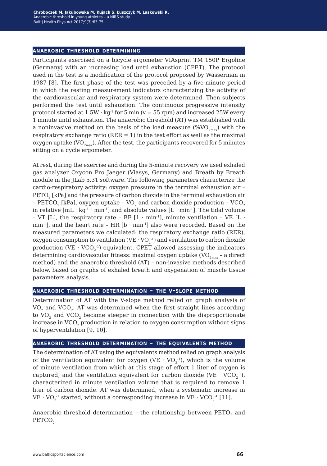#### **anaerobic threshold determining**

Participants exercised on a bicycle ergometer VIAsprint TM 150P Ergoline (Germany) with an increasing load until exhaustion (CPET). The protocol used in the test is a modification of the protocol proposed by Wasserman in 1987 [8]. The first phase of the test was preceded by a five-minute period in which the resting measurement indicators characterizing the activity of the cardiovascular and respiratory system were determined. Then subjects performed the test until exhaustion. The continuous progressive intensity protocol started at  $1.5W \cdot kg^{-1}$  for 5 min (v = 55 rpm) and increased 25W every 1 minute until exhaustion. The anaerobic threshold (AT) was established with a noninvasive method on the basis of the load measure (% $VO_{2<sub>max</sub>}$ ) with the respiratory exchange ratio ( $RER = 1$ ) in the test effort as well as the maximal oxygen uptake (VO<sub>2max</sub>). After the test, the participants recovered for 5 minutes sitting on a cycle ergometer.

At rest, during the exercise and during the 5-minute recovery we used exhaled gas analyzer Oxycon Pro Jaeger (Viasys, Germany) and Breath by Breath module in the JLab 5.31 software. The following parameters characterize the cardio-respiratory activity: oxygen pressure in the terminal exhaustion air – PETO<sub>2</sub> [kPa] and the pressure of carbon dioxide in the terminal exhaustion air – PETCO<sub>2</sub> [kPa], oxygen uptake – VO<sub>2</sub> and carbon dioxide production – VCO<sub>2</sub> in relative  $[mL \cdot kg^{-1} \cdot min^{-1}]$  and absolute values  $[L \cdot min^{-1}]$ . The tidal volume – VT [L], the respiratory rate – BF  $[1 \cdot min^{-1}]$ , minute ventilation – VE  $[L \cdot m]$ min<sup>-1</sup>], and the heart rate - HR  $[b \cdot min^{-1}]$  also were recorded. Based on the measured parameters we calculated: the respiratory exchange ratio (RER), oxygen consumption to ventilation (VE  $\cdot$  VO $_2^{-1}$ ) and ventilation to carbon dioxide production (VE  $\cdot$  VCO<sub>2</sub><sup>-1</sup>) equivalent. CPET allowed assessing the indicators determining cardiovascular fitness: maximal oxygen uptake  $\rm (VO_{2max}$  - a direct method) and the anaerobic threshold (AT) – non-invasive methods described below, based on graphs of exhaled breath and oxygenation of muscle tissue parameters analysis.

#### **anaerobic threshold determination – the v-slope method**

Determination of AT with the V-slope method relied on graph analysis of VO<sub>2</sub> and VCO<sub>2</sub>. AT was determined when the first straight lines according to  $VO<sub>2</sub>$  and  $VCO<sub>2</sub>$  became steeper in connection with the disproportionate increase in  $VCO<sub>2</sub>$  production in relation to oxygen consumption without signs of hyperventilation [9, 10].

#### **anaerobic threshold determination – the equivalents method**

The determination of AT using the equivalents method relied on graph analysis of the ventilation equivalent for oxygen (VE  $\cdot$  VO<sub>2</sub><sup>-1</sup>), which is the volume of minute ventilation from which at this stage of effort 1 liter of oxygen is captured, and the ventilation equivalent for carbon dioxide (VE  $\cdot$  VCO<sub>2</sub><sup>-1</sup>), characterized in minute ventilation volume that is required to remove 1 liter of carbon dioxide. AT was determined, when a systematic increase in  $\mathrm{VE\cdot VO}_{2}^{-1}$  started, without a corresponding increase in  $\mathrm{VE\cdot VCO}_{2}^{-1}$  [11].

Anaerobic threshold determination - the relationship between  $PETO<sub>2</sub>$  and PETCO<sub>2</sub>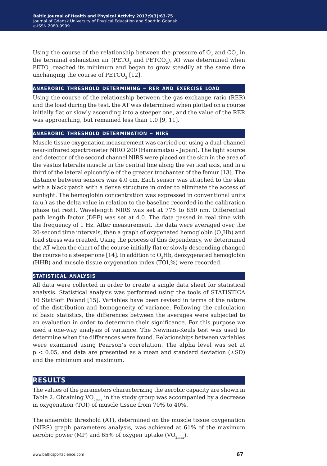Using the course of the relationship between the pressure of  $O_2$  and  $CO_2$  in the terminal exhaustion air ( $PETO<sub>2</sub>$  and  $PETO<sub>2</sub>$ ), AT was determined when PETO<sub>2</sub> reached its minimum and began to grow steadily at the same time unchanging the course of  $PETCO<sub>2</sub>$  [12].

#### **anaerobic threshold determining – rer and exercise load**

Using the course of the relationship between the gas exchange ratio (RER) and the load during the test, the AT was determined when plotted on a course initially flat or slowly ascending into a steeper one, and the value of the RER was approaching, but remained less than 1.0 [9, 11].

#### **anaerobic threshold determination – nirs**

Muscle tissue oxygenation measurement was carried out using a dual-channel near-infrared spectrometer NIRO 200 (Hamamatsu – Japan). The light source and detector of the second channel NIRS were placed on the skin in the area of the vastus lateralis muscle in the central line along the vertical axis, and in a third of the lateral epicondyle of the greater trochanter of the femur [13]. The distance between sensors was 4.0 cm. Each sensor was attached to the skin with a black patch with a dense structure in order to eliminate the access of sunlight. The hemoglobin concentration was expressed in conventional units (a.u.) as the delta value in relation to the baseline recorded in the calibration phase (at rest). Wavelength NIRS was set at 775 to 850 nm. Differential path length factor (DPF) was set at 4.0. The data passed in real time with the frequency of 1 Hz. After measurement, the data were averaged over the 20-second time intervals, then a graph of oxygenated hemoglobin  $(O, Hb)$  and load stress was created. Using the process of this dependency, we determined the AT when the chart of the course initially flat or slowly descending changed the course to a steeper one [14]. In addition to  $O<sub>2</sub>Hb$ , deoxygenated hemoglobin (HHB) and muscle tissue oxygenation index (TOI,%) were recorded.

#### **statistical analysis**

All data were collected in order to create a single data sheet for statistical analysis. Statistical analysis was performed using the tools of STATISTICA 10 StatSoft Poland [15]. Variables have been revised in terms of the nature of the distribution and homogeneity of variance. Following the calculation of basic statistics, the differences between the averages were subjected to an evaluation in order to determine their significance. For this purpose we used a one-way analysis of variance. The Newman-Keuls test was used to determine when the differences were found. Relationships between variables were examined using Pearson's correlation. The alpha level was set at  $p < 0.05$ , and data are presented as a mean and standard deviation  $(\pm SD)$ and the minimum and maximum.

### **results**

The values of the parameters characterizing the aerobic capacity are shown in Table 2. Obtaining  $VO_{2mav}$  in the study group was accompanied by a decrease in oxygenation (TOI) of muscle tissue from 70% to 40%.

The anaerobic threshold (AT), determined on the muscle tissue oxygenation (NIRS) graph parameters analysis, was achieved at 61% of the maximum aerobic power (MP) and 65% of oxygen uptake (VO<sub>2max</sub>).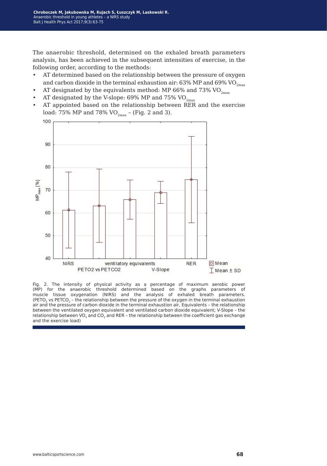The anaerobic threshold, determined on the exhaled breath parameters analysis, has been achieved in the subsequent intensities of exercise, in the following order, according to the methods:

- AT determined based on the relationship between the pressure of oxygen and carbon dioxide in the terminal exhaustion air: 63% MP and 69% VO<sub>2max</sub>
- AT designated by the equivalents method: MP 66% and 73%  $VO_{2\text{max}}$
- AT designated by the V-slope:  $69\%$  MP and  $75\%$  VO<sub>2max</sub>
- AT appointed based on the relationship between RER and the exercise load: 75% MP and 78% VO<sub>2max</sub> – (Fig. 2 and 3).



Fig. 2. The intensity of physical activity as a percentage of maximum aerobic power (MP) for the anaerobic threshold determined based on the graphs parameters of muscle tissue oxygenation (NIRS) and the analysis of exhaled breath parameters. (PETO<sub>2</sub> vs PETCO<sub>2</sub> – the relationship between the pressure of the oxygen in the terminal exhaustion air and the pressure of carbon dioxide in the terminal exhaustion air, Equivalents – the relationship between the ventilated oxygen equivalent and ventilated carbon dioxide equivalent; V-Slope – the relationship between VO<sub>2</sub> and CO<sub>2</sub> and RER - the relationship between the coefficient gas exchange and the exercise load)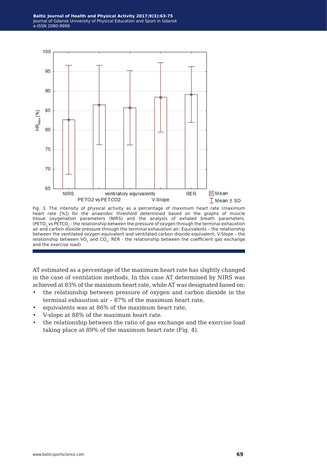

Fig. 3. The intensity of physical activity as a percentage of maximum heart rate (maximum heart rate [%]) for the anaerobic threshold determined based on the graphs of muscle tissue oxygenation parameters (NIRS) and the analysis of exhaled breath parameters. (PETO<sub>2</sub> vs PETCO<sub>2</sub> - the relationship between the pressure of oxygen through the terminal exhaustion air and carbon dioxide pressure through the terminal exhaustion air; Equivalents – the relationship between the ventilated oxygen equivalent and ventilated carbon dioxide equivalent; V-Slope – the relationship between VO<sub>2</sub> and CO<sub>2</sub>; RER - the relationship between the coefficient gas exchange and the exercise load)

AT estimated as a percentage of the maximum heart rate has slightly changed in the case of ventilation methods. In this case AT determined by NIRS was achieved at 83% of the maximum heart rate, while AT was designated based on:

- the relationship between pressure of oxygen and carbon dioxide in the terminal exhaustion air – 87% of the maximum heart rate,
- equivalents was at 86% of the maximum heart rate,
- V-slope at 88% of the maximum heart rate.
- the relationship between the ratio of gas exchange and the exercise load taking place at 89% of the maximum heart rate (Fig. 4).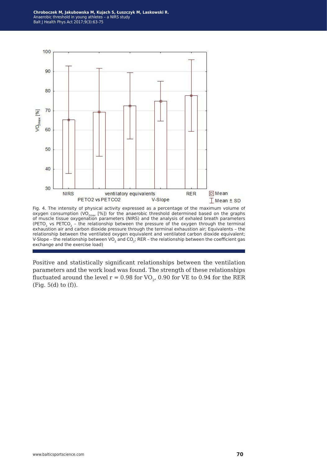**Chroboczek M, Jakubowska M, Kujach S, Łuszczyk M, Laskowski R.** Anaerobic threshold in young athletes – a NIRS study Balt J Health Phys Act 2017;9(3):63-75



Fig. 4. The intensity of physical activity expressed as a percentage of the maximum volume of oxygen consumption (VO<sub>2max</sub> [%]) for the anaerobic threshold determined based on the graphs<br>of muscle tissue oxygenation parameters (NIRS) and the analysis of exhaled breath parameters (PETO<sub>2</sub> vs PETCO<sub>2</sub> – the relationship between the pressure of the oxygen through the terminal exhaustion air and carbon dioxide pressure through the terminal exhaustion air; Equivalents - the relationship between the ventilated oxygen equivalent and ventilated carbon dioxide equivalent; V-Slope – the relationship between VO<sub>2</sub> and CO<sub>2</sub>; RER – the relationship between the coefficient gas exchange and the exercise load)

Positive and statistically significant relationships between the ventilation parameters and the work load was found. The strength of these relationships fluctuated around the level  $r = 0.98$  for VO<sub>2</sub>, 0.90 for VE to 0.94 for the RER (Fig. 5(d) to (f)).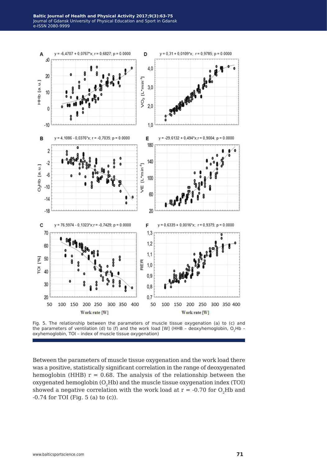

Fig. 5. The relationship between the parameters of muscle tissue oxygenation (a) to (c) and the parameters of ventilation (d) to (f) and the work load [W] (HHB - deoxyhemoglobin, O<sub>2</sub>Hb oxyhemoglobin, TOI – index of muscle tissue oxygenation)

Between the parameters of muscle tissue oxygenation and the work load there was a positive, statistically significant correlation in the range of deoxygenated hemoglobin (HHB)  $r = 0.68$ . The analysis of the relationship between the oxygenated hemoglobin  $(O, Hb)$  and the muscle tissue oxygenation index (TOI) showed a negative correlation with the work load at  $r = -0.70$  for  $O_2Hb$  and -0.74 for TOI (Fig. 5 (a) to (c)).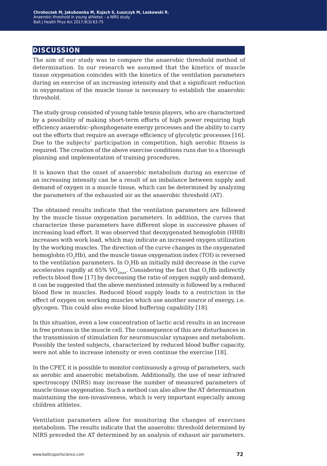## **discussion**

The aim of our study was to compare the anaerobic threshold method of determination. In our research we assumed that the kinetics of muscle tissue oxygenation coincides with the kinetics of the ventilation parameters during an exercise of an increasing intensity and that a significant reduction in oxygenation of the muscle tissue is necessary to establish the anaerobic threshold.

The study group consisted of young table tennis players, who are characterized by a possibility of making short-term efforts of high power requiring high efficiency anaerobic–phosphogenate energy processes and the ability to carry out the efforts that require an average efficiency of glycolytic processes [16]. Due to the subjects' participation in competition, high aerobic fitness is required. The creation of the above exercise conditions runs due to a thorough planning and implementation of training procedures.

It is known that the onset of anaerobic metabolism during an exercise of an increasing intensity can be a result of an imbalance between supply and demand of oxygen in a muscle tissue, which can be determined by analyzing the parameters of the exhausted air as the anaerobic threshold (AT).

The obtained results indicate that the ventilation parameters are followed by the muscle tissue oxygenation parameters. In addition, the curves that characterize these parameters have different slope in successive phases of increasing load effort. It was observed that deoxygenated hemoglobin (HHB) increases with work load, which may indicate an increased oxygen utilization by the working muscles. The direction of the curve changes in the oxygenated hemoglobin (O<sub>2</sub>Hb), and the muscle tissue oxygenation index (TOI) is reversed to the ventilation parameters. In  $O<sub>2</sub>Hb$  an initially mild decrease in the curve accelerates rapidly at 65%  $VO_{2max}$ . Considering the fact that  $O_2Hb$  indirectly reflects blood flow [17] by decreasing the ratio of oxygen supply and demand, it can be suggested that the above mentioned intensity is followed by a reduced blood flow in muscles. Reduced blood supply leads to a restriction in the effect of oxygen on working muscles which use another source of energy, i.e. glycogen. This could also evoke blood buffering capability [18].

In this situation, even a low concentration of lactic acid results in an increase in free protons in the muscle cell. The consequence of this are disturbances in the transmission of stimulation for neuromuscular synapses and metabolism. Possibly the tested subjects, characterized by reduced blood buffer capacity, were not able to increase intensity or even continue the exercise [18].

In the CPET, it is possible to monitor continuously a group of parameters, such as aerobic and anaerobic metabolism. Additionally, the use of near infrared spectroscopy (NIRS) may increase the number of measured parameters of muscle tissue oxygenation. Such a method can also allow the AT determination maintaining the non-invasiveness, which is very important especially among children athletes.

Ventilation parameters allow for monitoring the changes of exercises metabolism. The results indicate that the anaerobic threshold determined by NIRS preceded the AT determined by an analysis of exhaust air parameters.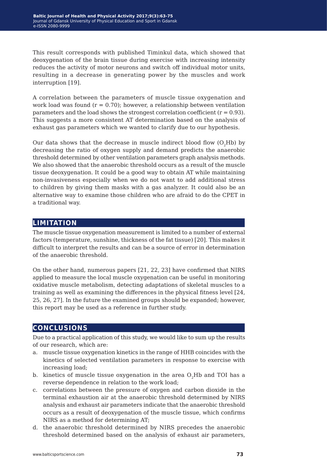This result corresponds with published Timinkul data, which showed that deoxygenation of the brain tissue during exercise with increasing intensity reduces the activity of motor neurons and switch off individual motor units, resulting in a decrease in generating power by the muscles and work interruption [19].

A correlation between the parameters of muscle tissue oxygenation and work load was found  $(r = 0.70)$ ; however, a relationship between ventilation parameters and the load shows the strongest correlation coefficient ( $r = 0.93$ ). This suggests a more consistent AT determination based on the analysis of exhaust gas parameters which we wanted to clarify due to our hypothesis.

Our data shows that the decrease in muscle indirect blood flow  $(O, Hb)$  by decreasing the ratio of oxygen supply and demand predicts the anaerobic threshold determined by other ventilation parameters graph analysis methods. We also showed that the anaerobic threshold occurs as a result of the muscle tissue deoxygenation. It could be a good way to obtain AT while maintaining non-invasiveness especially when we do not want to add additional stress to children by giving them masks with a gas analyzer. It could also be an alternative way to examine those children who are afraid to do the CPET in a traditional way.

## **limitation**

The muscle tissue oxygenation measurement is limited to a number of external factors (temperature, sunshine, thickness of the fat tissue) [20]. This makes it difficult to interpret the results and can be a source of error in determination of the anaerobic threshold.

On the other hand, numerous papers [21, 22, 23] have confirmed that NIRS applied to measure the local muscle oxygenation can be useful in monitoring oxidative muscle metabolism, detecting adaptations of skeletal muscles to a training as well as examining the differences in the physical fitness level [24, 25, 26, 27]. In the future the examined groups should be expanded; however, this report may be used as a reference in further study.

## **conclusions**

Due to a practical application of this study, we would like to sum up the results of our research, which are:

- a. muscle tissue oxygenation kinetics in the range of HHB coincides with the kinetics of selected ventilation parameters in response to exercise with increasing load;
- b. kinetics of muscle tissue oxygenation in the area  $O<sub>2</sub>Hb$  and TOI has a reverse dependence in relation to the work load;
- c. correlations between the pressure of oxygen and carbon dioxide in the terminal exhaustion air at the anaerobic threshold determined by NIRS analysis and exhaust air parameters indicate that the anaerobic threshold occurs as a result of deoxygenation of the muscle tissue, which confirms NIRS as a method for determining AT;
- d. the anaerobic threshold determined by NIRS precedes the anaerobic threshold determined based on the analysis of exhaust air parameters,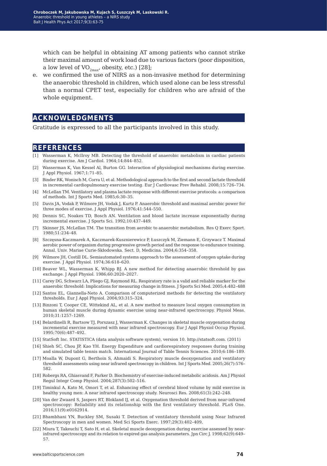which can be helpful in obtaining AT among patients who cannot strike their maximal amount of work load due to various factors (poor disposition, a low level of  $VO_{2max}$ , obesity, etc.) [28];

e. we confirmed the use of NIRS as a non-invasive method for determining the anaerobic threshold in children, which used alone can be less stressful than a normal CPET test, especially for children who are afraid of the whole equipment.

### **acknowledgments**

Gratitude is expressed to all the participants involved in this study.

#### **references**

- [1] Wasserman K, McIlroy MB. Detecting the threshold of anaerobic metabolism in cardiac patients during exercise. Am J Cardiol. 1964;14:844–852.
- [2] Wasserman K, Van Kessel Al, Burton GG. Interaction of physiological mechanisms during exercise. J Appl Physiol. 1967;1:71–85.
- [3] Binder RK, Wonisch M, Corra U, et al. Methodological approach to the first and second lactate threshold in incremental cardiopulmonary exercise testing. Eur J Cardiovasc Prev Rehabil. 2008;15:726–734.
- [4] McLellan TM. Ventilatory and plasma lactate response with different exercise protocols: a comparison of methods. Int J Sports Med. 1985;6:30–35.
- [5] Davis JA, Vodak P, Wilmore JH, Vodak J, Kurtz P. Anaerobic threshold and maximal aerobic power for three modes of exercise. J Appl Physiol. 1976;41:544–550.
- [6] Dennis SC, Noakes TD, Bosch AN. Ventilation and blood lactate increase exponentially during incremental exercise. J Sports Sci. 1992;10:437–449.
- [7] Skinner JS, McLellan TM. The transition from aerobic to anaerobic metabolism. Res Q Exerc Sport. 1980;51:234–48.
- [8] Szczęsna-Kaczmarek A, Kaczmarek-Kusznierewicz P, Łuszczyk M, Ziemann E, Grzywacz T. Maximal aerobic power of organism during progressive growth period and the response to endurance training. Annal. Univ. Mariae Curie-Skłodowska. Sect. D, Medicina. 2004;6:354–358.
- [9] Wilmore JH, Costill DL. Semiautomated systems approach to the assessment of oxygen uptake during exercise. J Appl Physiol. 1974;36:618–620.
- [10] Beaver WL, Wasserman K, Whipp BJ. A new method for detecting anaerobic threshold by gas exchange. J Appl Physiol. 1986;60:2020–2027.
- [11] Carey DG, Schwarz LA, Pliego GJ, Raymond RL. Respiratory rate is a valid and reliable marker for the anaerobic threshold: Implications for measuring change in fitness. J Sports Sci Med. 2005;4:482–488
- [12] Santos EL, Giannella-Neto A. Comparison of computerized methods for detecting the ventilatory thresholds. Eur J Appl Physiol. 2004;93:315–324.
- [13] Binzoni T, Cooper CE, Wittekind AL, et al. A new method to measure local oxygen consumption in human skeletal muscle during dynamic exercise using near-infrared spectroscopy. Physiol Meas. 2010;31:1257–1269.
- [14] Belardinelli R, Bartsow TJ, Porszasz J, Wasserman K. Changes in skeletal muscle oxygenation during incremental exercise measured with near infrared spectroscopy. Eur J Appl Physiol Occup Physiol. 1995;70(6):487–492.
- [15] StatSoft Inc. STATISTICA (data analysis software system), version 10. http://statsoft.com. (2011)
- [16] Shieh SC, Chou JP, Kao YH. Energy Expenditure and cardiorespiratory responses during training and simulated table tennis match. International Journal of Table Tennis Sciences. 2010;6:186–189.
- [17] Moalla W, Dupont G, Berthoin S, Ahmaidi S. Respiratory muscle deoxygenation and ventilatory threshold assessments using near infrared spectroscopy in children. Int J Sports Med. 2005;26(7):576– 582.
- [18] Robergs RA, Ghiasvand F, Parker D. Biochemistry of exercise-induced metabolic acidosis. Am J Physiol Regul Integr Comp Physiol. 2004;287(3):502–516.
- [19] Timinkul A, Kato M, Omori T, et al. Enhancing effect of cerebral blood volume by mild exercise in healthy young men: A near infrared spectroscopy study. Neurosci Res. 2008;61(3):242–248.
- [20] Van der Zwaard S, Jaspers RT, Blokland IJ, et al. Oxygenation threshold derived from near-infrared spectroscopy: Reliability and its relationship with the first ventilatory threshold. PLoS One. 2016;11(9):e0162914.
- [21] Bhambhani YN, Buckley SM, Susaki T. Detection of ventilatory threshold using Near Infrared Spectroscopy in men and women. Med Sci Sports Exerc. 1997;29(3):402–409,
- [22] Miura T, Takeuchi T, Sato H, et al. Skeletal muscle deoxygenation during exercise assessed by nearinfrared spectroscopy and its relation to expired gas analysis parameters. Jpn Circ J. 1998;62(9):649– 57.